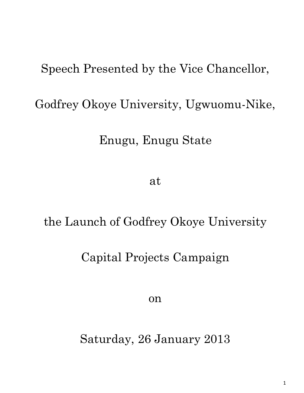# Speech Presented by the Vice Chancellor,

# Godfrey Okoye University, Ugwuomu-Nike,

#### Enugu, Enugu State

at

# the Launch of Godfrey Okoye University

#### Capital Projects Campaign

on

Saturday, 26 January 2013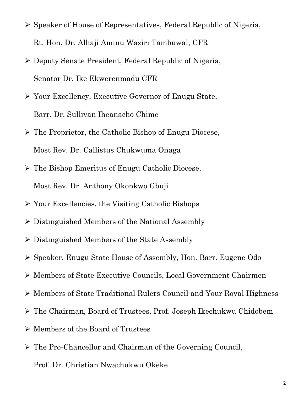- Speaker of House of Representatives, Federal Republic of Nigeria, Rt. Hon. Dr. Alhaji Aminu Waziri Tambuwal, CFR
- Deputy Senate President, Federal Republic of Nigeria, Senator Dr. Ike Ekwerenmadu CFR
- Your Excellency, Executive Governor of Enugu State, Barr. Dr. Sullivan Iheanacho Chime
- The Proprietor, the Catholic Bishop of Enugu Diocese, Most Rev. Dr. Callistus Chukwuma Onaga
- The Bishop Emeritus of Enugu Catholic Diocese, Most Rev. Dr. Anthony Okonkwo Gbuji
- $\triangleright$  Your Excellencies, the Visiting Catholic Bishops
- Distinguished Members of the National Assembly
- $\triangleright$  Distinguished Members of the State Assembly
- Speaker, Enugu State House of Assembly, Hon. Barr. Eugene Odo
- Members of State Executive Councils, Local Government Chairmen
- Members of State Traditional Rulers Council and Your Royal Highness
- The Chairman, Board of Trustees, Prof. Joseph Ikechukwu Chidobem
- Members of the Board of Trustees
- The Pro-Chancellor and Chairman of the Governing Council,
	- Prof. Dr. Christian Nwachukwu Okeke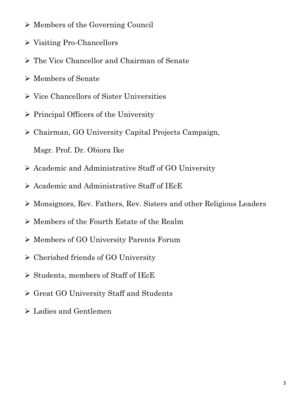- $\triangleright$  Members of the Governing Council
- Visiting Pro-Chancellors
- The Vice Chancellor and Chairman of Senate
- Members of Senate
- $\triangleright$  Vice Chancellors of Sister Universities
- $\triangleright$  Principal Officers of the University
- Chairman, GO University Capital Projects Campaign,

Msgr. Prof. Dr. Obiora Ike

- Academic and Administrative Staff of GO University
- $\triangleright$  Academic and Administrative Staff of IEcE
- Monsignors, Rev. Fathers, Rev. Sisters and other Religious Leaders
- Members of the Fourth Estate of the Realm
- Members of GO University Parents Forum
- Cherished friends of GO University
- $\triangleright$  Students, members of Staff of IEcE
- Great GO University Staff and Students
- Ladies and Gentlemen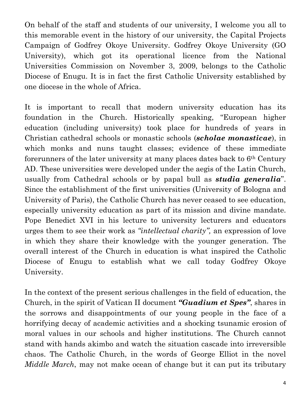On behalf of the staff and students of our university, I welcome you all to this memorable event in the history of our university, the Capital Projects Campaign of Godfrey Okoye University. Godfrey Okoye University (GO University), which got its operational licence from the National Universities Commission on November 3, 2009, belongs to the Catholic Diocese of Enugu. It is in fact the first Catholic University established by one diocese in the whole of Africa.

It is important to recall that modern university education has its foundation in the Church. Historically speaking, "European higher education (including university) took place for hundreds of years in Christian cathedral schools or monastic schools (*scholae monasticae*), in which monks and nuns taught classes; evidence of these immediate forerunners of the later university at many places dates back to  $6<sup>th</sup>$  Century AD. These universities were developed under the aegis of the Latin Church, usually from Cathedral schools or by papal bull as *studia generalia*". Since the establishment of the first universities (University of Bologna and University of Paris), the Catholic Church has never ceased to see education, especially university education as part of its mission and divine mandate. Pope Benedict XVI in his lecture to university lecturers and educators urges them to see their work as *"intellectual charity",* an expression of love in which they share their knowledge with the younger generation. The overall interest of the Church in education is what inspired the Catholic Diocese of Enugu to establish what we call today Godfrey Okoye University.

In the context of the present serious challenges in the field of education, the Church, in the spirit of Vatican II document *"Guadium et Spes"*, shares in the sorrows and disappointments of our young people in the face of a horrifying decay of academic activities and a shocking tsunamic erosion of moral values in our schools and higher institutions. The Church cannot stand with hands akimbo and watch the situation cascade into irreversible chaos. The Catholic Church, in the words of George Elliot in the novel *Middle March*, may not make ocean of change but it can put its tributary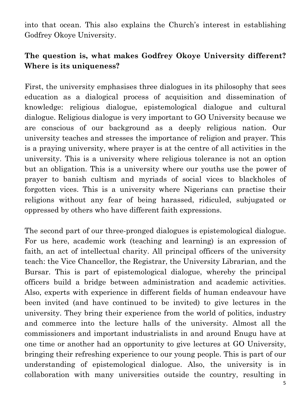into that ocean. This also explains the Church's interest in establishing Godfrey Okoye University.

#### **The question is, what makes Godfrey Okoye University different? Where is its uniqueness?**

First, the university emphasises three dialogues in its philosophy that sees education as a dialogical process of acquisition and dissemination of knowledge: religious dialogue, epistemological dialogue and cultural dialogue. Religious dialogue is very important to GO University because we are conscious of our background as a deeply religious nation. Our university teaches and stresses the importance of religion and prayer. This is a praying university, where prayer is at the centre of all activities in the university. This is a university where religious tolerance is not an option but an obligation. This is a university where our youths use the power of prayer to banish cultism and myriads of social vices to blackholes of forgotten vices. This is a university where Nigerians can practise their religions without any fear of being harassed, ridiculed, subjugated or oppressed by others who have different faith expressions.

The second part of our three-pronged dialogues is epistemological dialogue. For us here, academic work (teaching and learning) is an expression of faith, an act of intellectual charity. All principal officers of the university teach: the Vice Chancellor, the Registrar, the University Librarian, and the Bursar. This is part of epistemological dialogue, whereby the principal officers build a bridge between administration and academic activities. Also, experts with experience in different fields of human endeavour have been invited (and have continued to be invited) to give lectures in the university. They bring their experience from the world of politics, industry and commerce into the lecture halls of the university. Almost all the commissioners and important industrialists in and around Enugu have at one time or another had an opportunity to give lectures at GO University, bringing their refreshing experience to our young people. This is part of our understanding of epistemological dialogue. Also, the university is in collaboration with many universities outside the country, resulting in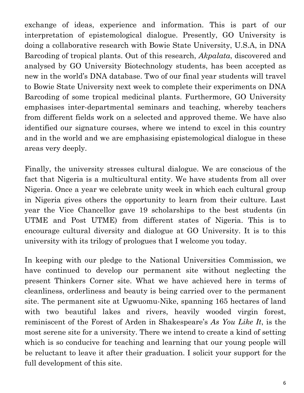exchange of ideas, experience and information. This is part of our interpretation of epistemological dialogue. Presently, GO University is doing a collaborative research with Bowie State University, U.S.A, in DNA Barcoding of tropical plants. Out of this research, *Akpalata*, discovered and analysed by GO University Biotechnology students, has been accepted as new in the world's DNA database. Two of our final year students will travel to Bowie State University next week to complete their experiments on DNA Barcoding of some tropical medicinal plants. Furthermore, GO University emphasises inter-departmental seminars and teaching, whereby teachers from different fields work on a selected and approved theme. We have also identified our signature courses, where we intend to excel in this country and in the world and we are emphasising epistemological dialogue in these areas very deeply.

Finally, the university stresses cultural dialogue. We are conscious of the fact that Nigeria is a multicultural entity. We have students from all over Nigeria. Once a year we celebrate unity week in which each cultural group in Nigeria gives others the opportunity to learn from their culture. Last year the Vice Chancellor gave 19 scholarships to the best students (in UTME and Post UTME) from different states of Nigeria. This is to encourage cultural diversity and dialogue at GO University. It is to this university with its trilogy of prologues that I welcome you today.

In keeping with our pledge to the National Universities Commission, we have continued to develop our permanent site without neglecting the present Thinkers Corner site. What we have achieved here in terms of cleanliness, orderliness and beauty is being carried over to the permanent site. The permanent site at Ugwuomu-Nike, spanning 165 hectares of land with two beautiful lakes and rivers, heavily wooded virgin forest, reminiscent of the Forest of Arden in Shakespeare's *As You Like It*, is the most serene site for a university. There we intend to create a kind of setting which is so conducive for teaching and learning that our young people will be reluctant to leave it after their graduation. I solicit your support for the full development of this site.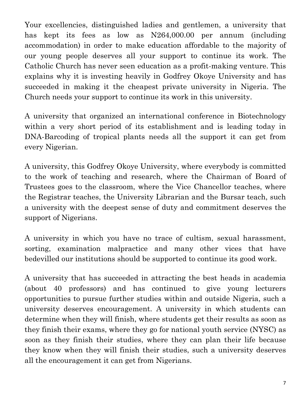Your excellencies, distinguished ladies and gentlemen, a university that has kept its fees as low as N264,000.00 per annum (including accommodation) in order to make education affordable to the majority of our young people deserves all your support to continue its work. The Catholic Church has never seen education as a profit-making venture. This explains why it is investing heavily in Godfrey Okoye University and has succeeded in making it the cheapest private university in Nigeria. The Church needs your support to continue its work in this university.

A university that organized an international conference in Biotechnology within a very short period of its establishment and is leading today in DNA-Barcoding of tropical plants needs all the support it can get from every Nigerian.

A university, this Godfrey Okoye University, where everybody is committed to the work of teaching and research, where the Chairman of Board of Trustees goes to the classroom, where the Vice Chancellor teaches, where the Registrar teaches, the University Librarian and the Bursar teach, such a university with the deepest sense of duty and commitment deserves the support of Nigerians.

A university in which you have no trace of cultism, sexual harassment, sorting, examination malpractice and many other vices that have bedevilled our institutions should be supported to continue its good work.

A university that has succeeded in attracting the best heads in academia (about 40 professors) and has continued to give young lecturers opportunities to pursue further studies within and outside Nigeria, such a university deserves encouragement. A university in which students can determine when they will finish, where students get their results as soon as they finish their exams, where they go for national youth service (NYSC) as soon as they finish their studies, where they can plan their life because they know when they will finish their studies, such a university deserves all the encouragement it can get from Nigerians.